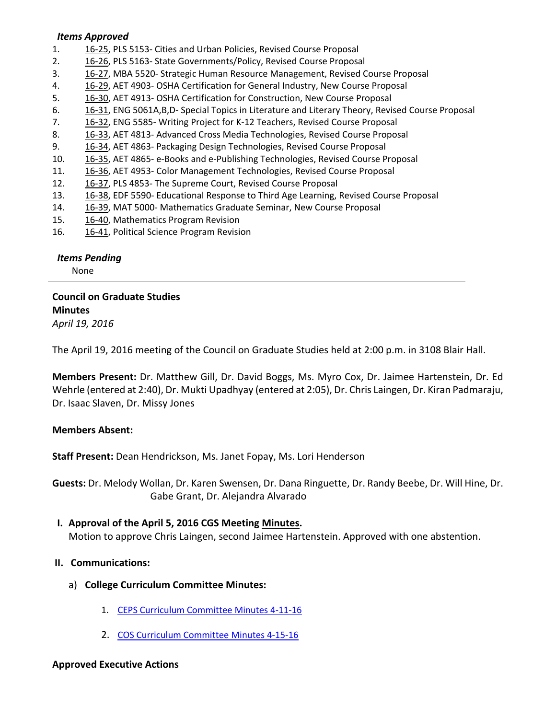#### *Items Approved*

- 1. 16-[25,](http://castle.eiu.edu/~eiucgs/currentagendaitems/agenda16-25.pdf) PLS 5153- Cities and Urban Policies, Revised Course Proposal
- 2. 16‐[26,](http://castle.eiu.edu/~eiucgs/currentagendaitems/agenda16-26.pdf) PLS 5163‐ State Governments/Policy, Revised Course Proposal
- 3. [16](http://castle.eiu.edu/~eiucgs/currentagendaitems/agenda16-27.pdf)‐27, MBA 5520‐ Strategic Human Resource Management, Revised Course Proposal
- 4. [16](http://castle.eiu.edu/~eiucgs/currentagendaitems/agenda16-29.pdf)‐29, AET 4903‐ OSHA Certification for General Industry, New Course Proposal
- 5. [16](http://castle.eiu.edu/~eiucgs/currentagendaitems/agenda16-30.pdf)‐30, AET 4913‐ OSHA Certification for Construction, New Course Proposal
- 6. 16‐[31,](http://castle.eiu.edu/~eiucgs/currentagendaitems/agenda16-31.pdf) ENG 5061A,B,D‐ Special Topics in Literature and Literary Theory, Revised Course Proposal
- 7. [16](http://castle.eiu.edu/~eiucgs/currentagendaitems/agenda16-32.pdf)‐32, ENG 5585‐ Writing Project for K‐12 Teachers, Revised Course Proposal
- 8. 16‐[33,](http://castle.eiu.edu/~eiucgs/currentagendaitems/agenda16-33.pdf) AET 4813‐ Advanced Cross Media Technologies, Revised Course Proposal
- 9. 16‐[34,](http://castle.eiu.edu/~eiucgs/currentagendaitems/agenda16-34.pdf) AET 4863‐ Packaging Design Technologies, Revised Course Proposal
- 10. 16-[35,](http://castle.eiu.edu/~eiucgs/currentagendaitems/agenda16-35.pdf) AET 4865- e-Books and e-Publishing Technologies, Revised Course Proposal
- 11. 16‐[36,](http://castle.eiu.edu/~eiucgs/currentagendaitems/agenda16-36.pdf) AET 4953‐ Color Management Technologies, Revised Course Proposal
- 12. [16](http://castle.eiu.edu/~eiucgs/currentagendaitems/agenda16-37.pdf)-37, PLS 4853- The Supreme Court, Revised Course Proposal
- 13. 16‐[38,](http://castle.eiu.edu/~eiucgs/currentagendaitems/agenda16-38.pdf) EDF 5590‐ Educational Response to Third Age Learning, Revised Course Proposal
- 14. 16‐[39,](http://castle.eiu.edu/~eiucgs/currentagendaitems/agenda16-39.pdf) MAT 5000‐ Mathematics Graduate Seminar, New Course Proposal
- 15. 16-[40,](http://castle.eiu.edu/~eiucgs/currentagendaitems/agenda16-40.pdf) Mathematics Program Revision
- 16. 16-[41,](http://castle.eiu.edu/~eiucgs/currentagendaitems/agenda16-41.pdf) Political Science Program Revision

# *Items Pending*

None

## **Council on Graduate Studies Minutes** *April 19, 2016*

The April 19, 2016 meeting of the Council on Graduate Studies held at 2:00 p.m. in 3108 Blair Hall.

**Members Present:** Dr. Matthew Gill, Dr. David Boggs, Ms. Myro Cox, Dr. Jaimee Hartenstein, Dr. Ed Wehrle (entered at 2:40), Dr. Mukti Upadhyay (entered at 2:05), Dr. Chris Laingen, Dr. Kiran Padmaraju, Dr. Isaac Slaven, Dr. Missy Jones

## **Members Absent:**

**Staff Present:** Dean Hendrickson, Ms. Janet Fopay, Ms. Lori Henderson

**Guests:** Dr. Melody Wollan, Dr. Karen Swensen, Dr. Dana Ringuette, Dr. Randy Beebe, Dr. Will Hine, Dr. Gabe Grant, Dr. Alejandra Alvarado

## **I. Approval of the April 5, 2016 CGS Meeting [Minutes.](http://castle.eiu.edu/eiucgs/currentminutes/Minutes04-05-16.pdf)**

Motion to approve Chris Laingen, second Jaimee Hartenstein. Approved with one abstention.

## **II. Communications:**

- a) **College Curriculum Committee Minutes:**
	- 1. CEPS Curriculum [Committee](http://www.eiu.edu/cepscurriculum/ay20152016/supportdocs/april/curr_minutes04112016.pdf) Minutes 4‐11‐16
	- 2. COS Curriculum [Committee](http://www.eiu.edu/colsci/coscc/minutes_2016/MINUTES_4_15_16.pdf) Minutes 4‐15‐16

# **Approved Executive Actions**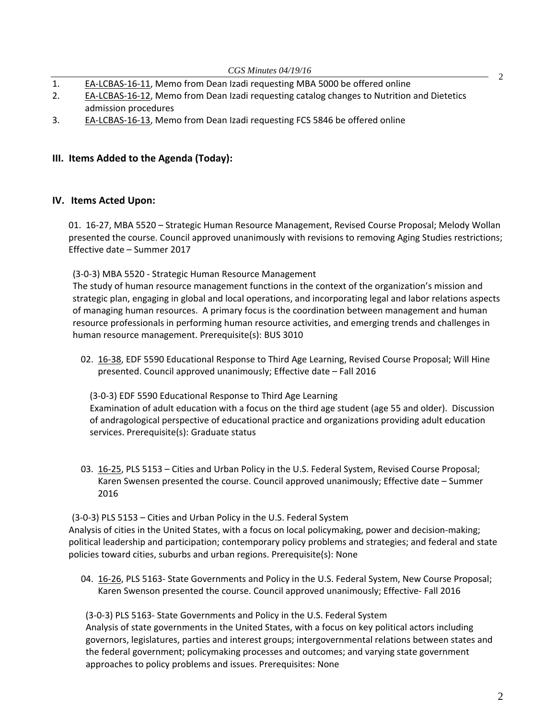- 1. EA‐[LCBAS](http://castle.eiu.edu/~eiucgs/exec-actions/EA-LCBAS-16-11.pdf)‐16‐11, Memo from Dean Izadi requesting MBA 5000 be offered online
- 2. EA-[LCBAS](http://castle.eiu.edu/~eiucgs/exec-actions/EA-LCBAS-16-12.pdf)-16-12, Memo from Dean Izadi requesting catalog changes to Nutrition and Dietetics admission procedures
- 3. EA‐[LCBAS](http://castle.eiu.edu/~eiucgs/exec-actions/EA-LCBAS-16-13.pdf)‐16‐13, Memo from Dean Izadi requesting FCS 5846 be offered online

#### **III. Items Added to the Agenda (Today):**

#### **IV. Items Acted Upon:**

01. 16‐27, MBA 5520 – Strategic Human Resource Management, Revised Course Proposal; Melody Wollan pr[esented](http://castle.eiu.edu/~eiucgs/currentagendaitems/agenda16-27.pdf) the course. Council approved unanimously with revisions to removing Aging Studies restrictions; Effective date – Summer 2017

(3‐0‐3) MBA 5520 ‐ Strategic Human Resource Management

The study of human resource management functions in the context of the organization's mission and strategic plan, engaging in global and local operations, and incorporating legal and labor relations aspects of managing human resources. A primary focus is the coordination between management and human resource professionals in performing human resource activities, and emerging trends and challenges in human resource management. Prerequisite(s): BUS 3010

0[2. 16](http://castle.eiu.edu/~eiucgs/currentagendaitems/agenda16-38.pdf)-38, EDF 5590 Educational Response to Third Age Learning, Revised Course Proposal; Will Hine presented. Council approved unanimously; Effective date – Fall 2016

(3‐0‐3) EDF 5590 Educational Response to Third Age Learning Examination of adult education with a focus on the third age student (age 55 and older). Discussion of andragological perspective of educational practice and organizations providing adult education services. Prerequisite(s): Graduate status

03[. 16](http://castle.eiu.edu/~eiucgs/currentagendaitems/agenda16-25.pdf)-25, PLS 5153 – Cities and Urban Policy in the U.S. Federal System, Revised Course Proposal; Karen Swensen presented the course. Council approved unanimously; Effective date – Summer 2016

(3‐0‐3) PLS 5153 – Cities and Urban Policy in the U.S. Federal System Analysis of cities in the United States, with a focus on local policymaking, power and decision‐making; political leadership and participation; contemporary policy problems and strategies; and federal and state policies toward cities, suburbs and urban regions. Prerequisite(s): None

04. 16-[26,](http://castle.eiu.edu/~eiucgs/currentagendaitems/agenda16-26.pdf) PLS 5163- State Governments and Policy in the U.S. Federal System, New Course Proposal; Karen Swenson presented the course. Council approved unanimously; Effective‐ Fall 2016

(3‐0‐3) PLS 5163‐ State Governments and Policy in the U.S. Federal System Analysis of state governments in the United States, with a focus on key political actors including governors, legislatures, parties and interest groups; intergovernmental relations between states and the federal government; policymaking processes and outcomes; and varying state government approaches to policy problems and issues. Prerequisites: None

2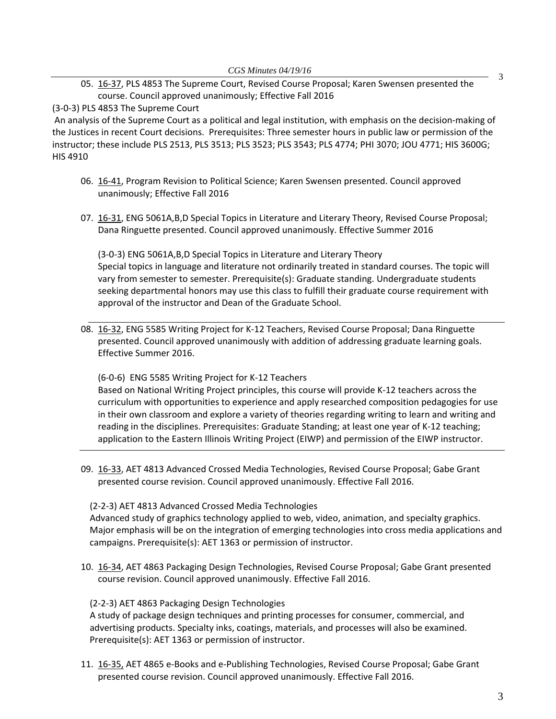05. 16‐37, PLS 4853 The Supreme Court, Revised Course Proposal; Karen Swensen presented the [course.](http://castle.eiu.edu/~eiucgs/currentagendaitems/agenda16-37.pdf) Council approved unanimously; Effective Fall 2016

(3‐0‐3) PLS 4853 The Supreme Court

An analysis of the Supreme Court as a political and legal institution, with emphasis on the decision‐making of the Justices in recent Court decisions. Prerequisites: Three semester hours in public law or permission of the instructor; these include PLS 2513, PLS 3513; PLS 3523; PLS 3543; PLS 4774; PHI 3070; JOU 4771; HIS 3600G; HIS 4910

- 06. 16‐[41,](http://castle.eiu.edu/~eiucgs/currentagendaitems/agenda16-41.pdf) Program Revision to Political Science; Karen Swensen presented. Council approved unanimously; Effective Fall 2016
- 07. 16‐[31,](http://castle.eiu.edu/~eiucgs/currentagendaitems/agenda16-31.pdf) ENG 5061A,B,D Special Topics in Literature and Literary Theory, Revised Course Proposal; Dana Ringuette presented. Council approved unanimously. Effective Summer 2016

(3‐0‐3) ENG 5061A,B,D Special Topics in Literature and Literary Theory Special topics in language and literature not ordinarily treated in standard courses. The topic will vary from semester to semester. Prerequisite(s): Graduate standing. Undergraduate students seeking departmental honors may use this class to fulfill their graduate course requirement with approval of the instructor and Dean of the Graduate School.

08. 16-[32,](http://castle.eiu.edu/~eiucgs/currentagendaitems/agenda16-32.pdf) ENG 5585 Writing Project for K-12 Teachers, Revised Course Proposal; Dana Ringuette presented. Council approved unanimously with addition of addressing graduate learning goals. Effective Summer 2016.

(6‐0‐6) ENG 5585 Writing Project for K‐12 Teachers

Based on National Writing Project principles, this course will provide K‐12 teachers across the curriculum with opportunities to experience and apply researched composition pedagogies for use in their own classroom and explore a variety of theories regarding writing to learn and writing and reading in the disciplines. Prerequisites: Graduate Standing; at least one year of K‐12 teaching; application to the Eastern Illinois Writing Project (EIWP) and permission of the EIWP instructor.

09. 16-33, AET 4813 Advanced Crossed Media Technologies, Revised Course Proposal; Gabe Grant [presente](http://castle.eiu.edu/~eiucgs/currentagendaitems/agenda16-33.pdf)d course revision. Council approved unanimously. Effective Fall 2016.

(2‐2‐3) AET 4813 Advanced Crossed Media Technologies

Advanced study of graphics technology applied to web, video, animation, and specialty graphics. Major emphasis will be on the integration of emerging technologies into cross media applications and campaigns. Prerequisite(s): AET 1363 or permission of instructor.

10. 16‐[34,](http://castle.eiu.edu/~eiucgs/currentagendaitems/agenda16-34.pdf) AET 4863 Packaging Design Technologies, Revised Course Proposal; Gabe Grant presented course revision. Council approved unanimously. Effective Fall 2016.

(2‐2‐3) AET 4863 Packaging Design Technologies

A study of package design techniques and printing processes for consumer, commercial, and advertising products. Specialty inks, coatings, materials, and processes will also be examined. Prerequisite(s): AET 1363 or permission of instructor.

11. 16‐[35,](http://castle.eiu.edu/~eiucgs/currentagendaitems/agenda16-35.pdf) AET 4865 e‐Books and e‐Publishing Technologies, Revised Course Proposal; Gabe Grant presented course revision. Council approved unanimously. Effective Fall 2016.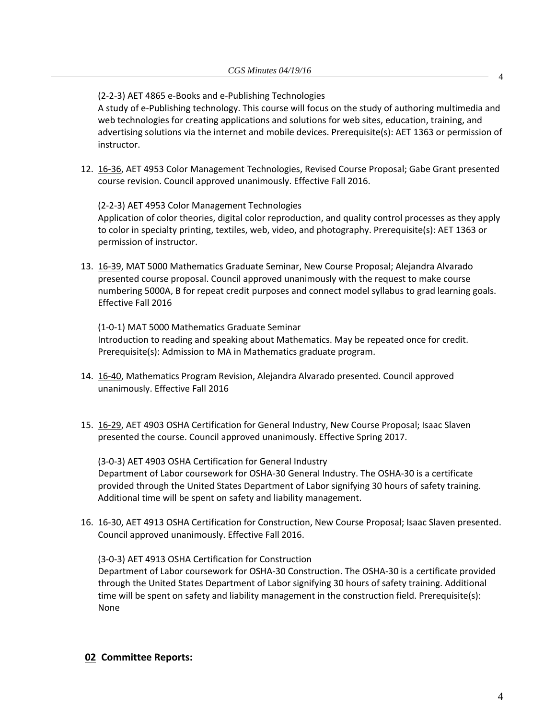(2‐2‐3) AET 4865 e‐Books and e‐Publishing Technologies

A study of e‐Publishing technology. This course will focus on the study of authoring multimedia and web technologies for creating applications and solutions for web sites, education, training, and advertising solutions via the internet and mobile devices. Prerequisite(s): AET 1363 or permission of instructor.

12. 16-[36,](http://castle.eiu.edu/~eiucgs/currentagendaitems/agenda16-36.pdf) AET 4953 Color Management Technologies, Revised Course Proposal; Gabe Grant presented course revision. Council approved unanimously. Effective Fall 2016.

(2‐2‐3) AET 4953 Color Management Technologies

Application of color theories, digital color reproduction, and quality control processes as they apply to color in specialty printing, textiles, web, video, and photography. Prerequisite(s): AET 1363 or permission of instructor.

13. 16‐39, MAT 5000 Mathematics Graduate Seminar, New Course Proposal; Alejandra Alvarado [present](http://castle.eiu.edu/~eiucgs/currentagendaitems/agenda16-39.pdf)ed course proposal. Council approved unanimously with the request to make course numbering 5000A, B for repeat credit purposes and connect model syllabus to grad learning goals. Effective Fall 2016

(1‐0‐1) MAT 5000 Mathematics Graduate Seminar Introduction to reading and speaking about Mathematics. May be repeated once for credit. Prerequisite(s): Admission to MA in Mathematics graduate program.

- 14. 16‐[40,](http://castle.eiu.edu/~eiucgs/currentagendaitems/agenda16-40.pdf) Mathematics Program Revision, Alejandra Alvarado presented. Council approved unanimously. Effective Fall 2016
- 15. 16‐[29,](http://castle.eiu.edu/~eiucgs/currentagendaitems/agenda16-29.pdf) AET 4903 OSHA Certification for General Industry, New Course Proposal; Isaac Slaven presented the course. Council approved unanimously. Effective Spring 2017.

(3‐0‐3) AET 4903 OSHA Certification for General Industry Department of Labor coursework for OSHA‐30 General Industry. The OSHA‐30 is a certificate provided through the United States Department of Labor signifying 30 hours of safety training. Additional time will be spent on safety and liability management.

16. 16-[30,](http://castle.eiu.edu/~eiucgs/currentagendaitems/agenda16-30.pdf) AET 4913 OSHA Certification for Construction, New Course Proposal; Isaac Slaven presented. Council approved unanimously. Effective Fall 2016.

# (3‐0‐3) AET 4913 OSHA Certification for Construction

Department of Labor coursework for OSHA‐30 Construction. The OSHA‐30 is a certificate provided through the United States Department of Labor signifying 30 hours of safety training. Additional time will be spent on safety and liability management in the construction field. Prerequisite(s): None

## **02 Committee Reports:**

4